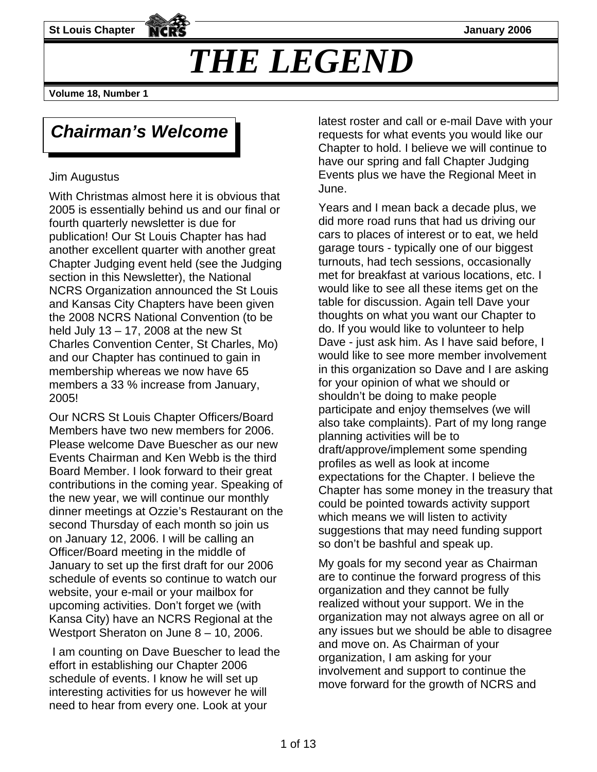**St Louis Chapter January 2006** 

# *THE LEGEND*

**Volume 18, Number 1** 

## *Chairman's Welcome*

#### Jim Augustus

With Christmas almost here it is obvious that 2005 is essentially behind us and our final or fourth quarterly newsletter is due for publication! Our St Louis Chapter has had another excellent quarter with another great Chapter Judging event held (see the Judging section in this Newsletter), the National NCRS Organization announced the St Louis and Kansas City Chapters have been given the 2008 NCRS National Convention (to be held July 13 – 17, 2008 at the new St Charles Convention Center, St Charles, Mo) and our Chapter has continued to gain in membership whereas we now have 65 members a 33 % increase from January, 2005!

Our NCRS St Louis Chapter Officers/Board Members have two new members for 2006. Please welcome Dave Buescher as our new Events Chairman and Ken Webb is the third Board Member. I look forward to their great contributions in the coming year. Speaking of the new year, we will continue our monthly dinner meetings at Ozzie's Restaurant on the second Thursday of each month so join us on January 12, 2006. I will be calling an Officer/Board meeting in the middle of January to set up the first draft for our 2006 schedule of events so continue to watch our website, your e-mail or your mailbox for upcoming activities. Don't forget we (with Kansa City) have an NCRS Regional at the Westport Sheraton on June 8 - 10, 2006.

 I am counting on Dave Buescher to lead the effort in establishing our Chapter 2006 schedule of events. I know he will set up interesting activities for us however he will need to hear from every one. Look at your

latest roster and call or e-mail Dave with your requests for what events you would like our Chapter to hold. I believe we will continue to have our spring and fall Chapter Judging Events plus we have the Regional Meet in June.

Years and I mean back a decade plus, we did more road runs that had us driving our cars to places of interest or to eat, we held garage tours - typically one of our biggest turnouts, had tech sessions, occasionally met for breakfast at various locations, etc. I would like to see all these items get on the table for discussion. Again tell Dave your thoughts on what you want our Chapter to do. If you would like to volunteer to help Dave - just ask him. As I have said before, I would like to see more member involvement in this organization so Dave and I are asking for your opinion of what we should or shouldn't be doing to make people participate and enjoy themselves (we will also take complaints). Part of my long range planning activities will be to draft/approve/implement some spending profiles as well as look at income expectations for the Chapter. I believe the Chapter has some money in the treasury that could be pointed towards activity support which means we will listen to activity suggestions that may need funding support so don't be bashful and speak up.

My goals for my second year as Chairman are to continue the forward progress of this organization and they cannot be fully realized without your support. We in the organization may not always agree on all or any issues but we should be able to disagree and move on. As Chairman of your organization, I am asking for your involvement and support to continue the move forward for the growth of NCRS and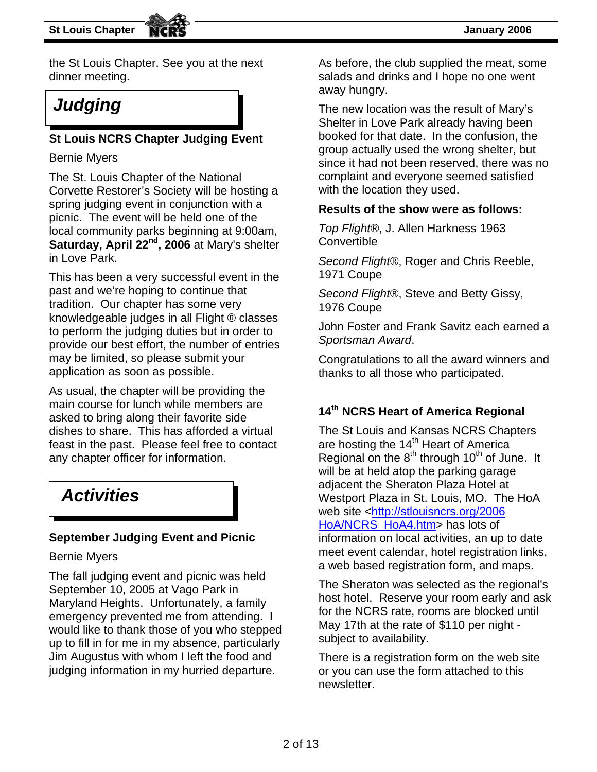the St Louis Chapter. See you at the next dinner meeting.

#### **St Louis NCRS Chapter Judging Event**

Bernie Myers

The St. Louis Chapter of the National Corvette Restorer's Society will be hosting a spring judging event in conjunction with a picnic. The event will be held one of the local community parks beginning at 9:00am, **Saturday, April 22nd, 2006** at Mary's shelter in Love Park.

This has been a very successful event in the past and we're hoping to continue that tradition. Our chapter has some very knowledgeable judges in all Flight ® classes to perform the judging duties but in order to provide our best effort, the number of entries may be limited, so please submit your application as soon as possible.

As usual, the chapter will be providing the main course for lunch while members are asked to bring along their favorite side dishes to share. This has afforded a virtual feast in the past. Please feel free to contact any chapter officer for information.

## *Activities*

#### **September Judging Event and Picnic**

#### Bernie Myers

The fall judging event and picnic was held September 10, 2005 at Vago Park in Maryland Heights. Unfortunately, a family emergency prevented me from attending. I would like to thank those of you who stepped up to fill in for me in my absence, particularly Jim Augustus with whom I left the food and judging information in my hurried departure.

As before, the club supplied the meat, some salads and drinks and I hope no one went away hungry.

**Judging The new location was the result of Mary's** Shelter in Love Park already having been booked for that date. In the confusion, the group actually used the wrong shelter, but since it had not been reserved, there was no complaint and everyone seemed satisfied with the location they used.

#### **Results of the show were as follows:**

*Top Flight®*, J. Allen Harkness 1963 **Convertible** 

*Second Flight®*, Roger and Chris Reeble, 1971 Coupe

*Second Flight®*, Steve and Betty Gissy, 1976 Coupe

John Foster and Frank Savitz each earned a *Sportsman Award*.

Congratulations to all the award winners and thanks to all those who participated.

### **14th NCRS Heart of America Regional**

The St Louis and Kansas NCRS Chapters are hosting the  $14<sup>th</sup>$  Heart of America Regional on the  $8<sup>th</sup>$  through 10<sup>th</sup> of June. It will be at held atop the parking garage adjacent the Sheraton Plaza Hotel at Westport Plaza in St. Louis, MO. The HoA web site <http://stlouisncrs.org/2006 [HoA/NCRS\\_HoA4.htm](http://stlouisncrs.org/2006%20HoA/NCRS_HoA4.htm)> has lots of information on local activities, an up to date meet event calendar, hotel registration links, a web based registration form, and maps.

The Sheraton was selected as the regional's host hotel. Reserve your room early and ask for the NCRS rate, rooms are blocked until May 17th at the rate of \$110 per night subject to availability.

There is a registration form on the web site or you can use the form attached to this newsletter.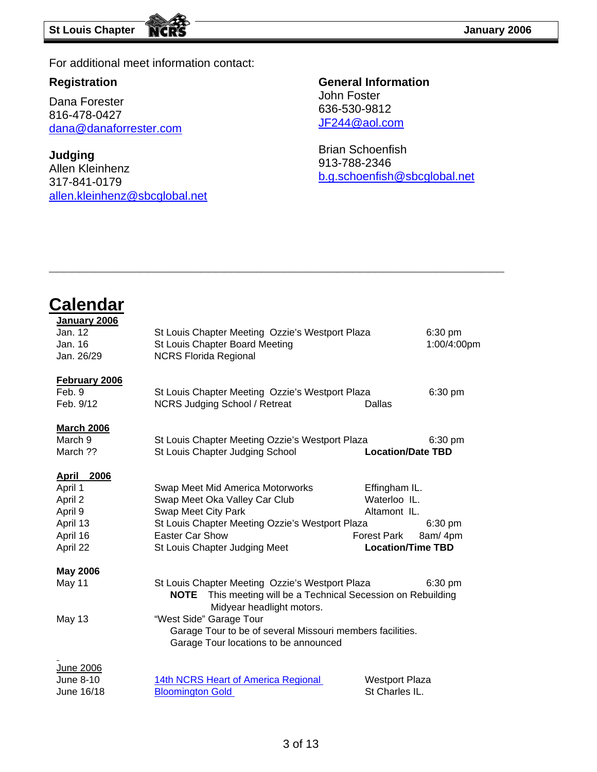For additional meet information contact:

#### **Registration**

**Calendar**

Dana Forester 816-478-0427 [dana@danaforrester.com](mailto:dana@danaforrester.com)

**Judging**  Allen Kleinhenz 317-841-0179 [allen.kleinhenz@sbcglobal.net](mailto:allen.kleinhenz@sbcglobal.net)

#### **General Information**  John Foster 636-530-9812 [JF244@aol.com](mailto:JF244@aol.com)

Brian Schoenfish 913-788-2346 [b.g.schoenfish@sbcglobal.net](mailto:b.g.schoenfish@sbcglobal.net)

| January 2006<br>Jan. 12<br>Jan. 16<br>Jan. 26/29                                       | St Louis Chapter Meeting Ozzie's Westport Plaza<br>St Louis Chapter Board Meeting<br><b>NCRS Florida Regional</b>                                                                                                                                                                 |                                                                                                 | $6:30$ pm<br>1:00/4:00pm     |
|----------------------------------------------------------------------------------------|-----------------------------------------------------------------------------------------------------------------------------------------------------------------------------------------------------------------------------------------------------------------------------------|-------------------------------------------------------------------------------------------------|------------------------------|
| <b>February 2006</b><br>Feb. 9<br>Feb. 9/12                                            | St Louis Chapter Meeting Ozzie's Westport Plaza<br><b>NCRS Judging School / Retreat</b>                                                                                                                                                                                           | Dallas                                                                                          | $6:30$ pm                    |
| <b>March 2006</b><br>March 9<br>March ??                                               | St Louis Chapter Meeting Ozzie's Westport Plaza<br>St Louis Chapter Judging School                                                                                                                                                                                                | <b>Location/Date TBD</b>                                                                        | $6:30$ pm                    |
| <b>April 2006</b><br>April 1<br>April 2<br>April 9<br>April 13<br>April 16<br>April 22 | Swap Meet Mid America Motorworks<br>Swap Meet Oka Valley Car Club<br>Swap Meet City Park<br>St Louis Chapter Meeting Ozzie's Westport Plaza<br><b>Easter Car Show</b><br>St Louis Chapter Judging Meet                                                                            | Effingham IL.<br>Waterloo IL.<br>Altamont IL.<br><b>Forest Park</b><br><b>Location/Time TBD</b> | $6:30 \text{ pm}$<br>8am/4pm |
| <b>May 2006</b><br>May 11<br>May 13                                                    | St Louis Chapter Meeting Ozzie's Westport Plaza<br>This meeting will be a Technical Secession on Rebuilding<br>NOTE<br>Midyear headlight motors.<br>"West Side" Garage Tour<br>Garage Tour to be of several Missouri members facilities.<br>Garage Tour locations to be announced |                                                                                                 | 6:30 pm                      |
| <b>June 2006</b><br>June 8-10<br>June 16/18                                            | 14th NCRS Heart of America Regional<br><b>Bloomington Gold</b>                                                                                                                                                                                                                    | <b>Westport Plaza</b><br>St Charles IL.                                                         |                              |

**\_\_\_\_\_\_\_\_\_\_\_\_\_\_\_\_\_\_\_\_\_\_\_\_\_\_\_\_\_\_\_\_\_\_\_\_\_\_\_\_\_\_\_\_\_\_\_\_\_\_\_\_\_\_\_\_\_\_\_\_**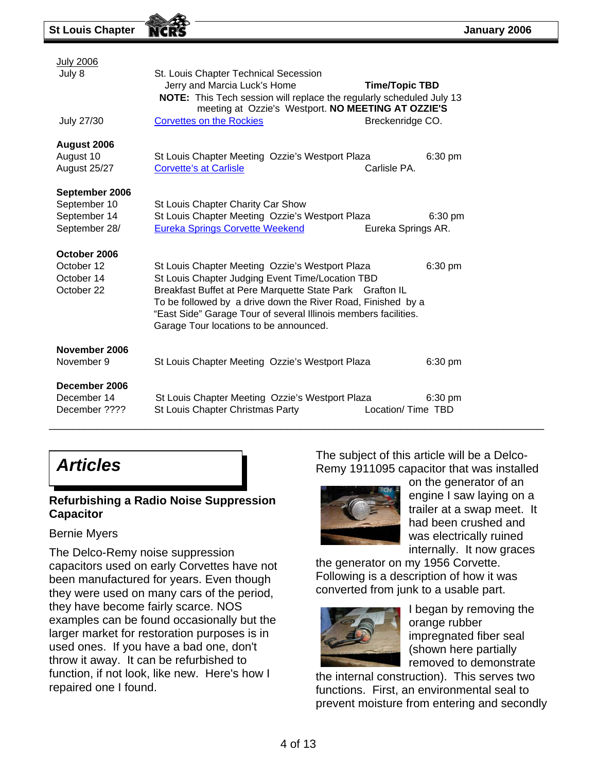| <b>July 2006</b><br>July 8<br><b>July 27/30</b>                 | St. Louis Chapter Technical Secession<br>Jerry and Marcia Luck's Home<br><b>Time/Topic TBD</b><br>NOTE: This Tech session will replace the regularly scheduled July 13<br>meeting at Ozzie's Westport. NO MEETING AT OZZIE'S<br><b>Corvettes on the Rockies</b><br>Breckenridge CO.                                                                     |
|-----------------------------------------------------------------|---------------------------------------------------------------------------------------------------------------------------------------------------------------------------------------------------------------------------------------------------------------------------------------------------------------------------------------------------------|
| August 2006<br>August 10<br>August 25/27                        | St Louis Chapter Meeting Ozzie's Westport Plaza<br>6:30 pm<br>Carlisle PA.<br><b>Corvette's at Carlisle</b>                                                                                                                                                                                                                                             |
| September 2006<br>September 10<br>September 14<br>September 28/ | St Louis Chapter Charity Car Show<br>St Louis Chapter Meeting Ozzie's Westport Plaza<br>$6:30$ pm<br><b>Eureka Springs Corvette Weekend</b><br>Eureka Springs AR.                                                                                                                                                                                       |
| October 2006<br>October 12<br>October 14<br>October 22          | St Louis Chapter Meeting Ozzie's Westport Plaza<br>6:30 pm<br>St Louis Chapter Judging Event Time/Location TBD<br>Breakfast Buffet at Pere Marquette State Park Grafton IL<br>To be followed by a drive down the River Road, Finished by a<br>"East Side" Garage Tour of several Illinois members facilities.<br>Garage Tour locations to be announced. |
| November 2006<br>November 9                                     | St Louis Chapter Meeting Ozzie's Westport Plaza<br>$6:30$ pm                                                                                                                                                                                                                                                                                            |
| December 2006<br>December 14<br>December ????                   | St Louis Chapter Meeting Ozzie's Westport Plaza<br>6:30 pm<br>St Louis Chapter Christmas Party<br>Location/Time TBD                                                                                                                                                                                                                                     |

## *Articles*

#### **Refurbishing a Radio Noise Suppression Capacitor**

#### Bernie Myers

The Delco-Remy noise suppression capacitors used on early Corvettes have not been manufactured for years. Even though they were used on many cars of the period, they have become fairly scarce. NOS examples can be found occasionally but the larger market for restoration purposes is in used ones. If you have a bad one, don't throw it away. It can be refurbished to function, if not look, like new. Here's how I repaired one I found.

The subject of this article will be a Delco-Remy 1911095 capacitor that was installed



on the generator of an engine I saw laying on a trailer at a swap meet. It had been crushed and was electrically ruined internally. It now graces

the generator on my 1956 Corvette. Following is a description of how it was converted from junk to a usable part.



I began by removing the orange rubber impregnated fiber seal (shown here partially removed to demonstrate

the internal construction). This serves two functions. First, an environmental seal to prevent moisture from entering and secondly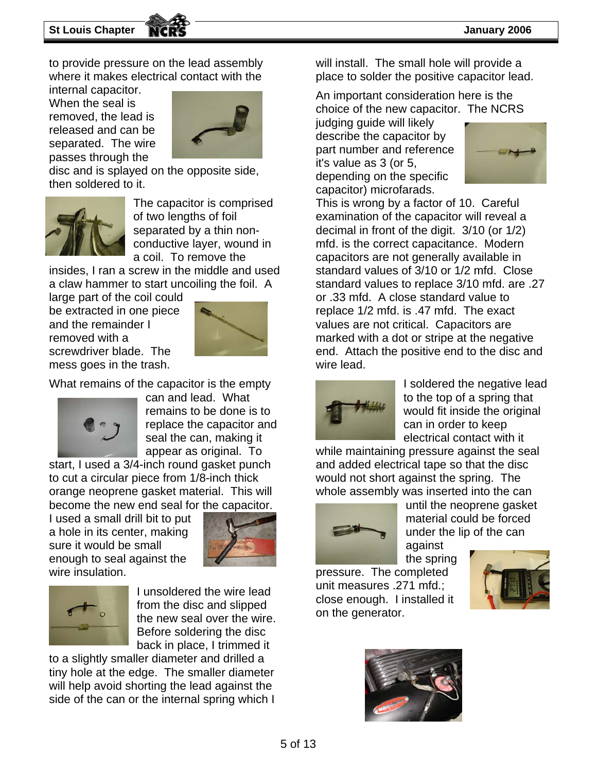to provide pressure on the lead assembly where it makes electrical contact with the

internal capacitor. When the seal is removed, the lead is released and can be separated. The wire passes through the



disc and is splayed on the opposite side, then soldered to it.



The capacitor is comprised of two lengths of foil separated by a thin nonconductive layer, wound in a coil. To remove the

insides, I ran a screw in the middle and used a claw hammer to start uncoiling the foil. A

large part of the coil could be extracted in one piece and the remainder I removed with a screwdriver blade. The mess goes in the trash.



What remains of the capacitor is the empty



can and lead. What remains to be done is to replace the capacitor and seal the can, making it appear as original. To

start, I used a 3/4-inch round gasket punch to cut a circular piece from 1/8-inch thick orange neoprene gasket material. This will become the new end seal for the capacitor.

I used a small drill bit to put a hole in its center, making sure it would be small enough to seal against the wire insulation.





I unsoldered the wire lead the new seal over the wire. from the disc and slipped Before soldering the disc back in place, I trimmed it

to a slightly smaller diameter and drilled a tiny hole at the edge. The smaller diameter will help avoid shorting the lead against the side of the can or the internal spring which I

. place to solder the positive capacitor lead will install. The small hole will provide a

An important consideration here is the choice of the new capacitor. The NCRS

describe the capacitor by depending on the specific judging guide will likely part number and reference it's value as 3 (or 5, capacitor) microfarads.



This is wrong by a factor of 10. Careful standard values of 3/10 or 1/2 mfd. Close 7 standard values to replace 3/10 mfd. are .2 marked with a dot or stripe at the negative examination of the capacitor will reveal a decimal in front of the digit. 3/10 (or 1/2) mfd. is the correct capacitance. Modern capacitors are not generally available in or .33 mfd. A close standard value to replace 1/2 mfd. is .47 mfd. The exact values are not critical. Capacitors are end. Attach the positive end to the disc and wire lead.



I soldered the negative lead to the top of a spring that would fit inside the original can in order to keep electrical contact with it

while maintaining pressure against the seal and added electrical tape so that the disc would not short against the spring. The whole assembly was inserted into the can



until the neoprene gasket material could be forced under the lip of the can against

the spring pressure. The completed close enough. I installed it unit measures .271 mfd.; on the generator.



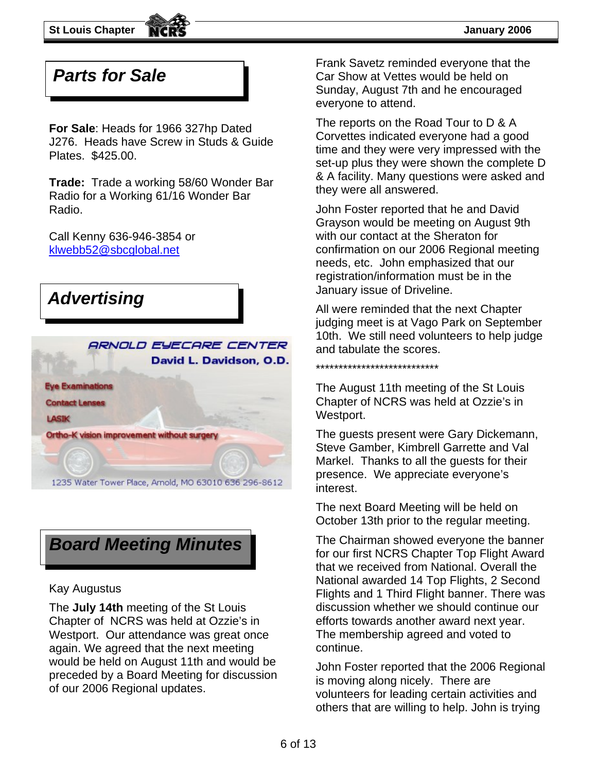

### *Parts for Sale*

**For Sale**: Heads for 1966 327hp Dated J276. Heads have Screw in Studs & Guide Plates. \$425.00.

**Trade:** Trade a working 58/60 Wonder Bar Radio for a Working 61/16 Wonder Bar Radio.

Call Kenny 636-946-3854 or [klwebb52@sbcglobal.net](mailto:klwebb52@sbcglobal.net)





#### Kay Augustus

The **July 14th** meeting of the St Louis Chapter of NCRS was held at Ozzie's in Westport. Our attendance was great once again. We agreed that the next meeting would be held on August 11th and would be preceded by a Board Meeting for discussion of our 2006 Regional updates.

Frank Savetz reminded everyone that the Car Show at Vettes would be held on Sunday, August 7th and he encouraged everyone to attend.

The reports on the Road Tour to D & A Corvettes indicated everyone had a good time and they were very impressed with the set-up plus they were shown the complete D & A facility. Many questions were asked and they were all answered.

John Foster reported that he and David Grayson would be meeting on August 9th with our contact at the Sheraton for confirmation on our 2006 Regional meeting needs, etc. John emphasized that our registration/information must be in the

judging meet is at Vago Park on September 10th. We still need volunteers to help judge and tabulate the scores.

#### \*\*\*\*\*\*\*\*\*\*\*\*\*\*\*\*\*\*\*\*\*\*\*\*\*\*\*

The August 11th meeting of the St Louis Chapter of NCRS was held at Ozzie's in Westport.

The guests present were Gary Dickemann, Steve Gamber, Kimbrell Garrette and Val Markel. Thanks to all the guests for their presence. We appreciate everyone's interest.

The next Board Meeting will be held on October 13th prior to the regular meeting.

The Chairman showed everyone the banner for our first NCRS Chapter Top Flight Award that we received from National. Overall the National awarded 14 Top Flights, 2 Second Flights and 1 Third Flight banner. There was discussion whether we should continue our efforts towards another award next year. The membership agreed and voted to continue.

John Foster reported that the 2006 Regional is moving along nicely. There are volunteers for leading certain activities and others that are willing to help. John is trying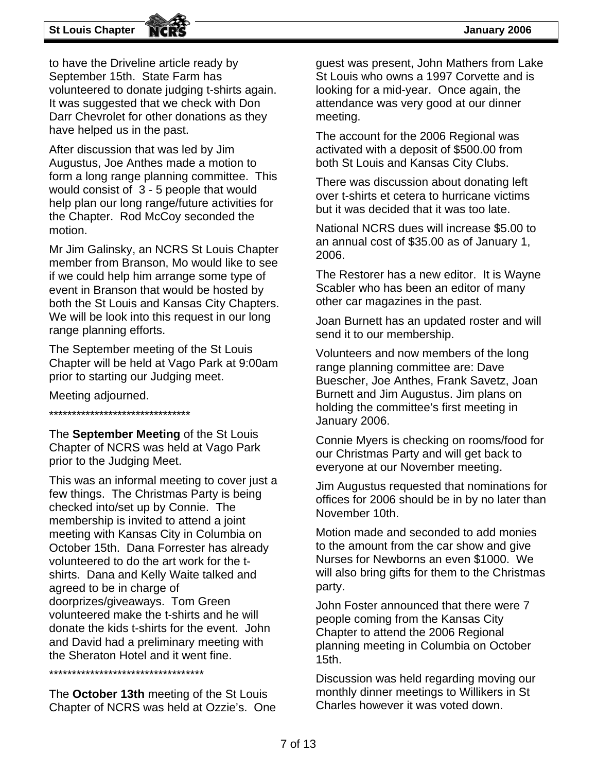#### **St Louis Chapter January 2006**

to have the Driveline article ready by September 15th. State Farm has volunteered to donate judging t-shirts again. It was suggested that we check with Don Darr Chevrolet for other donations as they have helped us in the past.

After discussion that was led by Jim Augustus, Joe Anthes made a motion to form a long range planning committee. This would consist of 3 - 5 people that would help plan our long range/future activities for the Chapter. Rod McCoy seconded the motion.

Mr Jim Galinsky, an NCRS St Louis Chapter member from Branson, Mo would like to see if we could help him arrange some type of event in Branson that would be hosted by both the St Louis and Kansas City Chapters. We will be look into this request in our long range planning efforts.

The September meeting of the St Louis Chapter will be held at Vago Park at 9:00am prior to starting our Judging meet.

Meeting adjourned.

\*\*\*\*\*\*\*\*\*\*\*\*\*\*\*\*\*\*\*\*\*\*\*\*\*\*\*\*\*\*\*

The **September Meeting** of the St Louis Chapter of NCRS was held at Vago Park prior to the Judging Meet.

This was an informal meeting to cover just a few things. The Christmas Party is being checked into/set up by Connie. The membership is invited to attend a joint meeting with Kansas City in Columbia on October 15th. Dana Forrester has already volunteered to do the art work for the tshirts. Dana and Kelly Waite talked and agreed to be in charge of doorprizes/giveaways. Tom Green volunteered make the t-shirts and he will donate the kids t-shirts for the event. John and David had a preliminary meeting with the Sheraton Hotel and it went fine.

\*\*\*\*\*\*\*\*\*\*\*\*\*\*\*\*\*\*\*\*\*\*\*\*\*\*\*\*\*\*\*\*\*\*

The **October 13th** meeting of the St Louis Chapter of NCRS was held at Ozzie's. One guest was present, John Mathers from Lake St Louis who owns a 1997 Corvette and is looking for a mid-year. Once again, the attendance was very good at our dinner meeting.

The account for the 2006 Regional was activated with a deposit of \$500.00 from both St Louis and Kansas City Clubs.

There was discussion about donating left over t-shirts et cetera to hurricane victims but it was decided that it was too late.

National NCRS dues will increase \$5.00 to an annual cost of \$35.00 as of January 1, 2006.

The Restorer has a new editor. It is Wayne Scabler who has been an editor of many other car magazines in the past.

Joan Burnett has an updated roster and will send it to our membership.

Volunteers and now members of the long range planning committee are: Dave Buescher, Joe Anthes, Frank Savetz, Joan Burnett and Jim Augustus. Jim plans on holding the committee's first meeting in January 2006.

Connie Myers is checking on rooms/food for our Christmas Party and will get back to everyone at our November meeting.

Jim Augustus requested that nominations for offices for 2006 should be in by no later than November 10th.

Motion made and seconded to add monies to the amount from the car show and give Nurses for Newborns an even \$1000. We will also bring gifts for them to the Christmas party.

John Foster announced that there were 7 people coming from the Kansas City Chapter to attend the 2006 Regional planning meeting in Columbia on October 15th.

Discussion was held regarding moving our monthly dinner meetings to Willikers in St Charles however it was voted down.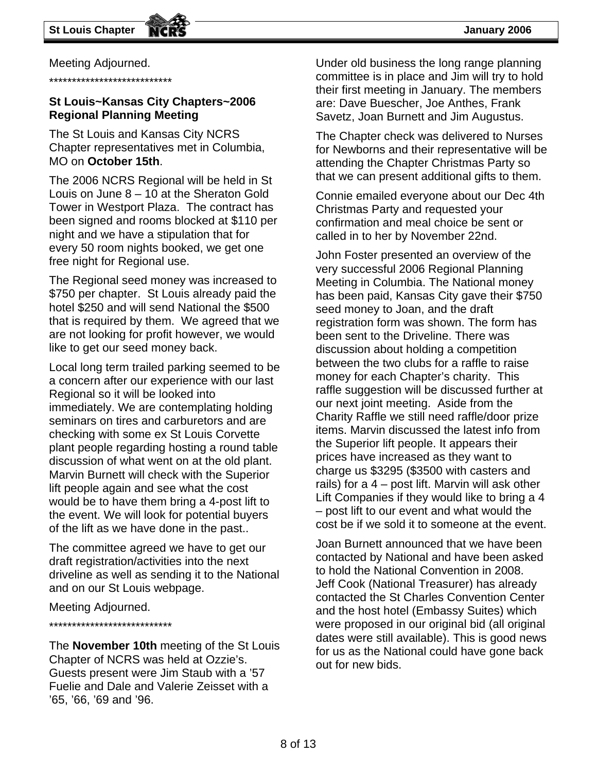Meeting Adjourned.

\*\*\*\*\*\*\*\*\*\*\*\*\*\*\*\*\*\*\*\*\*\*\*\*\*\*\*

#### **St Louis~Kansas City Chapters~2006 Regional Planning Meeting**

The St Louis and Kansas City NCRS Chapter representatives met in Columbia, MO on **October 15th**.

The 2006 NCRS Regional will be held in St Louis on June 8 – 10 at the Sheraton Gold Tower in Westport Plaza. The contract has been signed and rooms blocked at \$110 per night and we have a stipulation that for every 50 room nights booked, we get one free night for Regional use.

The Regional seed money was increased to \$750 per chapter. St Louis already paid the hotel \$250 and will send National the \$500 that is required by them. We agreed that we are not looking for profit however, we would like to get our seed money back.

Local long term trailed parking seemed to be a concern after our experience with our last Regional so it will be looked into immediately. We are contemplating holding seminars on tires and carburetors and are checking with some ex St Louis Corvette plant people regarding hosting a round table discussion of what went on at the old plant. Marvin Burnett will check with the Superior lift people again and see what the cost would be to have them bring a 4-post lift to the event. We will look for potential buyers of the lift as we have done in the past..

The committee agreed we have to get our draft registration/activities into the next driveline as well as sending it to the National and on our St Louis webpage.

#### Meeting Adjourned.

#### \*\*\*\*\*\*\*\*\*\*\*\*\*\*\*\*\*\*\*\*\*\*\*\*\*\*\*

The **November 10th** meeting of the St Louis Chapter of NCRS was held at Ozzie's. Guests present were Jim Staub with a '57 Fuelie and Dale and Valerie Zeisset with a '65, '66, '69 and '96.

Under old business the long range planning committee is in place and Jim will try to hold their first meeting in January. The members are: Dave Buescher, Joe Anthes, Frank Savetz, Joan Burnett and Jim Augustus.

The Chapter check was delivered to Nurses for Newborns and their representative will be attending the Chapter Christmas Party so that we can present additional gifts to them.

Connie emailed everyone about our Dec 4th Christmas Party and requested your confirmation and meal choice be sent or called in to her by November 22nd.

John Foster presented an overview of the very successful 2006 Regional Planning Meeting in Columbia. The National money has been paid, Kansas City gave their \$750 seed money to Joan, and the draft registration form was shown. The form has been sent to the Driveline. There was discussion about holding a competition between the two clubs for a raffle to raise money for each Chapter's charity. This raffle suggestion will be discussed further at our next joint meeting. Aside from the Charity Raffle we still need raffle/door prize items. Marvin discussed the latest info from the Superior lift people. It appears their prices have increased as they want to charge us \$3295 (\$3500 with casters and rails) for a 4 – post lift. Marvin will ask other Lift Companies if they would like to bring a 4 – post lift to our event and what would the cost be if we sold it to someone at the event.

Joan Burnett announced that we have been contacted by National and have been asked to hold the National Convention in 2008. Jeff Cook (National Treasurer) has already contacted the St Charles Convention Center and the host hotel (Embassy Suites) which were proposed in our original bid (all original dates were still available). This is good news for us as the National could have gone back out for new bids.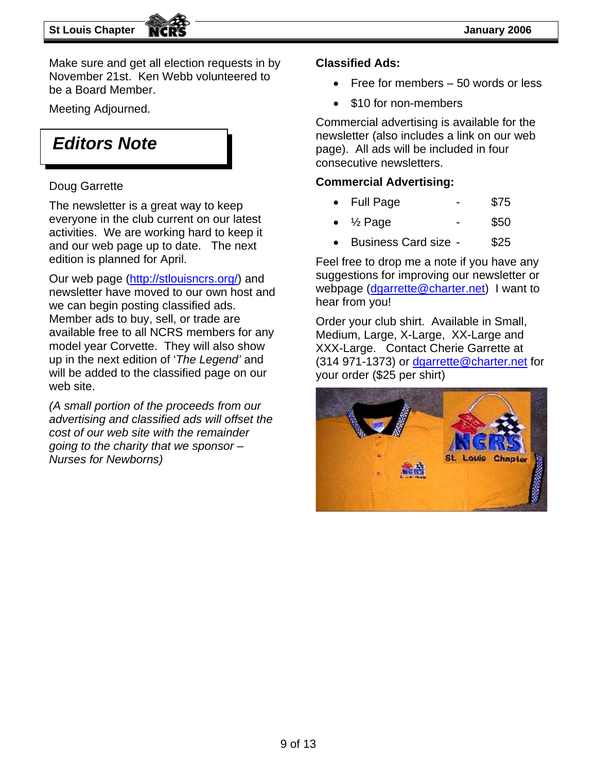Make sure and get all election requests in by November 21st. Ken Webb volunteered to be a Board Member.

### *Editors Note*

The newsletter is a great way to keep • Full Page • Full Page everyone in the club current on our latest activities. We are working hard to keep it and our web page up to date. The next edition is planned for April.

Our web page [\(http://stlouisncrs.org/\)](http://stlouisncrs.org/) and newsletter have moved to our own host and we can begin posting classified ads. Member ads to buy, sell, or trade are available free to all NCRS members for any model year Corvette. They will also show up in the next edition of '*The Legend'* and will be added to the classified page on our web site.

*(A small portion of the proceeds from our advertising and classified ads will offset the cost of our web site with the remainder going to the charity that we sponsor – Nurses for Newborns)* 

#### **Classified Ads:**

- Free for members 50 words or less
- \$10 for non-members Meeting Adjourned.

Commercial advertising is available for the newsletter (also includes a link on our web page). All ads will be included in four consecutive newsletters.

### Doug Garrette **Commercial Advertising:**

- 
- $\frac{1}{2}$  Page \$50
- Business Card size \$25

Feel free to drop me a note if you have any suggestions for improving our newsletter or webpage ([dgarrette@charter.net\)](mailto:dgarrette@charter.net) I want to hear from you!

Order your club shirt. Available in Small, Medium, Large, X-Large, XX-Large and XXX-Large. Contact Cherie Garrette at (314 971-1373) or [dgarrette@charter.net](mailto:dgarrette@charter.net) for your order (\$25 per shirt)

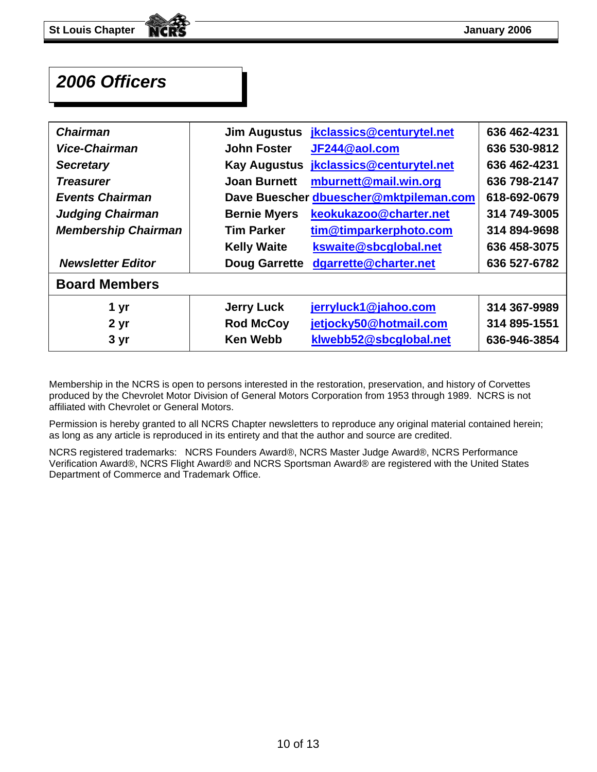### *2006 Officers*

| <b>Chairman</b>            | <b>Jim Augustus</b>  | jkclassics@centurytel.net              | 636 462-4231 |
|----------------------------|----------------------|----------------------------------------|--------------|
| Vice-Chairman              | <b>John Foster</b>   | JF244@aol.com                          | 636 530-9812 |
| <b>Secretary</b>           | <b>Kay Augustus</b>  | jkclassics@centurytel.net              | 636 462-4231 |
| <b>Treasurer</b>           | <b>Joan Burnett</b>  | mburnett@mail.win.org                  | 636 798-2147 |
| <b>Events Chairman</b>     |                      | Dave Buescher dbuescher@mktpileman.com | 618-692-0679 |
| <b>Judging Chairman</b>    | <b>Bernie Myers</b>  | keokukazoo@charter.net                 | 314 749-3005 |
| <b>Membership Chairman</b> | <b>Tim Parker</b>    | tim@timparkerphoto.com                 | 314 894-9698 |
|                            | <b>Kelly Waite</b>   | kswaite@sbcglobal.net                  | 636 458-3075 |
| <b>Newsletter Editor</b>   | <b>Doug Garrette</b> | dgarrette@charter.net                  | 636 527-6782 |
| <b>Board Members</b>       |                      |                                        |              |
| 1 yr                       | <b>Jerry Luck</b>    | jerryluck1@jahoo.com                   | 314 367-9989 |
| 2 <sub>yr</sub>            | <b>Rod McCoy</b>     | jetjocky50@hotmail.com                 | 314 895-1551 |
| 3 yr                       | <b>Ken Webb</b>      | klwebb52@sbcglobal.net                 | 636-946-3854 |

Membership in the NCRS is open to persons interested in the restoration, preservation, and history of Corvettes produced by the Chevrolet Motor Division of General Motors Corporation from 1953 through 1989. NCRS is not affiliated with Chevrolet or General Motors.

Permission is hereby granted to all NCRS Chapter newsletters to reproduce any original material contained herein; as long as any article is reproduced in its entirety and that the author and source are credited.

NCRS registered trademarks: NCRS Founders Award®, NCRS Master Judge Award®, NCRS Performance Verification Award®, NCRS Flight Award® and NCRS Sportsman Award® are registered with the United States Department of Commerce and Trademark Office.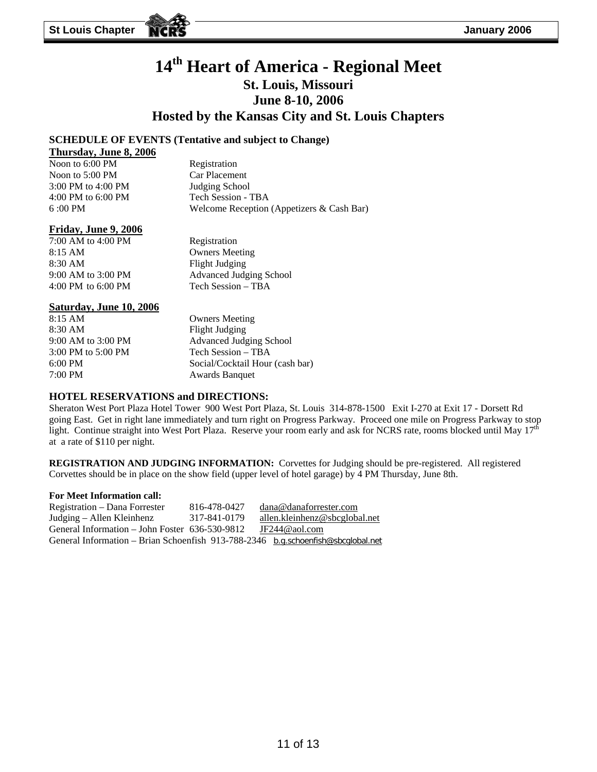### **14th Heart of America - Regional Meet St. Louis, Missouri June 8-10, 2006 Hosted by the Kansas City and St. Louis Chapters**

#### **SCHEDULE OF EVENTS (Tentative and subject to Change)**

#### **Thursday, June 8, 2006**

| Noon to 6:00 PM        | Registration                              |
|------------------------|-------------------------------------------|
| Noon to 5:00 PM        | Car Placement                             |
| $3:00$ PM to $4:00$ PM | Judging School                            |
| 4:00 PM to 6:00 PM     | Tech Session - TBA                        |
| $6:00 \text{ PM}$      | Welcome Reception (Appetizers & Cash Bar) |

#### **Friday, June 9, 2006**

7:00 AM to 4:00 PM Registration 8:15 AM Owners Meeting 8:30 AM Flight Judging 4:00 PM to 6:00 PM Tech Session – TBA

9:00 AM to 3:00 PM Advanced Judging School

#### **Saturday, June 10, 2006**

8:15 AM Owners Meeting 8:30 AM Flight Judging 9:00 AM to 3:00 PM Advanced Judging School 3:00 PM to 5:00 PM Tech Session – TBA 6:00 PM Social/Cocktail Hour (cash bar) 7:00 PM Awards Banquet

#### **HOTEL RESERVATIONS and DIRECTIONS:**

Sheraton West Port Plaza Hotel Tower 900 West Port Plaza, St. Louis 314-878-1500 Exit I-270 at Exit 17 - Dorsett Rd going East. Get in right lane immediately and turn right on Progress Parkway. Proceed one mile on Progress Parkway to stop light. Continue straight into West Port Plaza. Reserve your room early and ask for NCRS rate, rooms blocked until May  $17<sup>th</sup>$ at a rate of \$110 per night.

**REGISTRATION AND JUDGING INFORMATION:** Corvettes for Judging should be pre-registered. All registered Corvettes should be in place on the show field (upper level of hotel garage) by 4 PM Thursday, June 8th.

#### **For Meet Information call:**

Registration – Dana Forrester 816-478-0427 dana@danaforrester.com Judging – Allen Kleinhenz 317-841-0179 allen.kleinhenz@sbcglobal.net General Information – John Foster 636-530-9812 JF244@aol.com General Information – Brian Schoenfish 913-788-2346 b.g.schoenfish@sbcglobal.net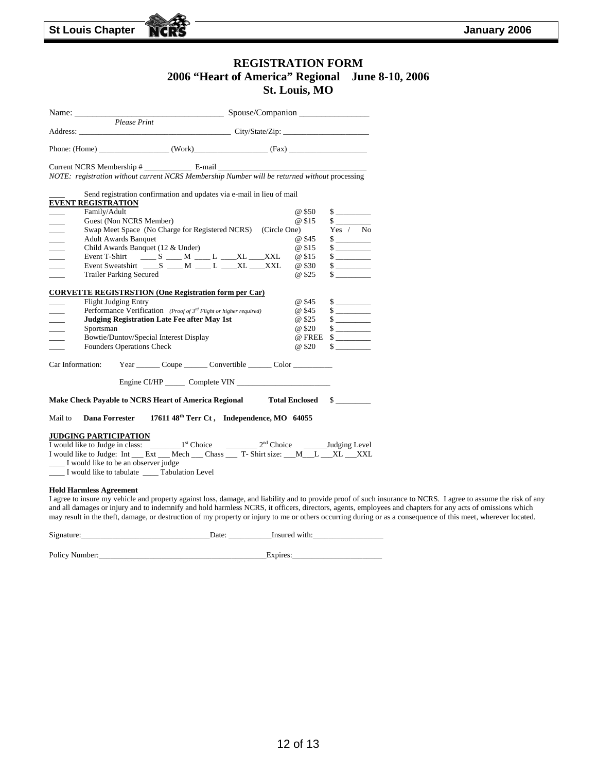#### **REGISTRATION FORM 2006 "Heart of America" Regional June 8-10, 2006 St. Louis, MO**

| Please Print                                                                                  |                                                                               |                                  |                                                                                                                                                                 |
|-----------------------------------------------------------------------------------------------|-------------------------------------------------------------------------------|----------------------------------|-----------------------------------------------------------------------------------------------------------------------------------------------------------------|
|                                                                                               |                                                                               |                                  |                                                                                                                                                                 |
|                                                                                               |                                                                               |                                  |                                                                                                                                                                 |
| Current NCRS Membership #                                                                     |                                                                               |                                  |                                                                                                                                                                 |
| NOTE: registration without current NCRS Membership Number will be returned without processing |                                                                               |                                  |                                                                                                                                                                 |
|                                                                                               | Send registration confirmation and updates via e-mail in lieu of mail         |                                  |                                                                                                                                                                 |
| <b>EVENT REGISTRATION</b>                                                                     |                                                                               |                                  |                                                                                                                                                                 |
| Family/Adult                                                                                  |                                                                               | @ \$50                           |                                                                                                                                                                 |
| Guest (Non NCRS Member)                                                                       |                                                                               | @ \$15                           | $\sim$                                                                                                                                                          |
|                                                                                               | Swap Meet Space (No Charge for Registered NCRS) (Circle One)                  |                                  | Yes / No                                                                                                                                                        |
| <b>Adult Awards Banquet</b>                                                                   |                                                                               | @ \$45                           |                                                                                                                                                                 |
|                                                                                               | Child Awards Banquet (12 & Under)                                             | @ \$15                           |                                                                                                                                                                 |
|                                                                                               | Event T-Shirt ______ S _____ M _____ L _____ XL ____ XXL                      | @ \$15                           |                                                                                                                                                                 |
|                                                                                               | Event Sweatshirt _____S _____ M _____L ____XL ____XXL                         | @ \$30                           |                                                                                                                                                                 |
| <b>Trailer Parking Secured</b>                                                                |                                                                               | @ \$25                           | $\frac{\text{S}}{\text{S}}$                                                                                                                                     |
|                                                                                               |                                                                               |                                  |                                                                                                                                                                 |
| <b>CORVETTE REGISTRSTION (One Registration form per Car)</b>                                  |                                                                               |                                  |                                                                                                                                                                 |
| Flight Judging Entry                                                                          |                                                                               | @ \$45                           | $\frac{\text{S}}{\text{S}}$                                                                                                                                     |
|                                                                                               | Performance Verification (Proof of 3 <sup>rd</sup> Flight or higher required) | @ \$45                           |                                                                                                                                                                 |
|                                                                                               | <b>Judging Registration Late Fee after May 1st</b>                            | @ \$25                           |                                                                                                                                                                 |
| Sportsman                                                                                     |                                                                               | @ \$20                           | $\frac{1}{2}$                                                                                                                                                   |
|                                                                                               | Bowtie/Duntov/Special Interest Display                                        |                                  | @ FREE \$                                                                                                                                                       |
| <b>Founders Operations Check</b>                                                              |                                                                               | @ \$20                           | $\frac{1}{2}$                                                                                                                                                   |
| Car Information:                                                                              | Year Coupe Convertible Color                                                  |                                  |                                                                                                                                                                 |
|                                                                                               |                                                                               |                                  |                                                                                                                                                                 |
|                                                                                               |                                                                               |                                  |                                                                                                                                                                 |
| Make Check Payable to NCRS Heart of America Regional Total Enclosed \$                        |                                                                               |                                  |                                                                                                                                                                 |
| Dana Forrester<br>Mail to                                                                     | 17611 48 <sup>th</sup> Terr Ct, Independence, MO 64055                        |                                  |                                                                                                                                                                 |
| <b>JUDGING PARTICIPATION</b>                                                                  |                                                                               |                                  |                                                                                                                                                                 |
|                                                                                               |                                                                               |                                  |                                                                                                                                                                 |
| I would like to Judge: Int __ Ext __ Mech __ Chass __ T- Shirt size: __ M__ L __XL __XXL      |                                                                               |                                  |                                                                                                                                                                 |
| I would like to be an observer judge                                                          |                                                                               |                                  |                                                                                                                                                                 |
| I would like to tabulate _____ Tabulation Level                                               |                                                                               |                                  |                                                                                                                                                                 |
|                                                                                               |                                                                               |                                  |                                                                                                                                                                 |
| <b>Hold Harmless Agreement</b>                                                                |                                                                               |                                  |                                                                                                                                                                 |
|                                                                                               |                                                                               |                                  | I agree to insure my vehicle and property against loss, damage, and liability and to provide proof of such insurance to NCRS. I agree to assume the risk of any |
|                                                                                               |                                                                               |                                  | and all damages or injury and to indemnify and hold harmless NCRS, it officers, directors, agents, employees and chapters for any acts of omissions which       |
|                                                                                               |                                                                               |                                  | may result in the theft, damage, or destruction of my property or injury to me or others occurring during or as a consequence of this meet, wherever located.   |
|                                                                                               |                                                                               |                                  |                                                                                                                                                                 |
| Signature:                                                                                    |                                                                               | Date: _____________Insured with: |                                                                                                                                                                 |

Policy Number:\_\_\_\_\_\_\_\_\_\_\_\_\_\_\_\_\_\_\_\_\_\_\_\_\_\_\_\_\_\_\_\_\_\_\_\_\_\_\_\_\_\_\_Expires:\_\_\_\_\_\_\_\_\_\_\_\_\_\_\_\_\_\_\_\_\_\_\_